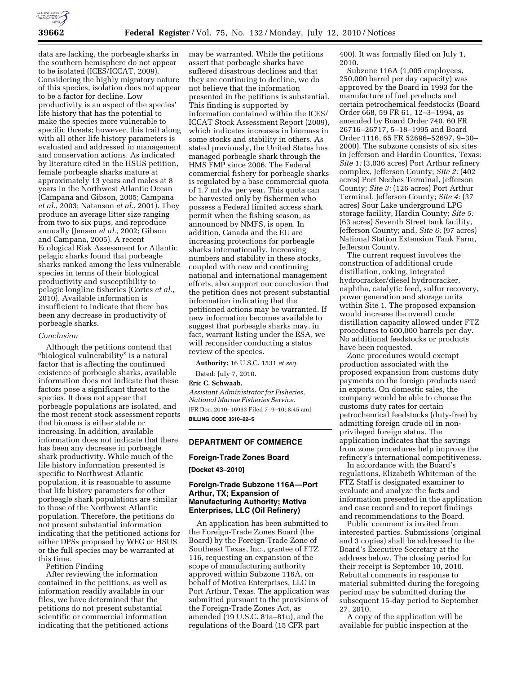

data are lacking, the porbeagle sharks in the southern hemisphere do not appear to be isolated (ICES/ICCAT, 2009). Considering the highly migratory nature of this species, isolation does not appear to be a factor for decline. Low productivity is an aspect of the species' life history that has the potential to make the species more vulnerable to specific threats; however, this trait along with all other life history parameters is evaluated and addressed in management and conservation actions. As indicated by literature cited in the HSUS petition, female porbeagle sharks mature at approximately 13 years and males at 8 years in the Northwest Atlantic Ocean (Campana and Gibson, 2005; Campana *et al.*, 2003; Natanson *et al.*, 2001). They produce an average litter size ranging from two to six pups, and reproduce annually (Jensen *et al.*, 2002; Gibson and Campana, 2005). A recent Ecological Risk Assessment for Atlantic pelagic sharks found that porbeagle sharks ranked among the less vulnerable species in terms of their biological productivity and susceptibility to pelagic longline fisheries (Cortes *et al.*, 2010). Available information is insufficient to indicate that there has been any decrease in productivity of porbeagle sharks.

#### *Conclusion*

Although the petitions contend that "biological vulnerability" is a natural factor that is affecting the continued existence of porbeagle sharks, available information does not indicate that these factors pose a significant threat to the species. It does not appear that porbeagle populations are isolated, and the most recent stock assessment reports that biomass is either stable or increasing. In addition, available information does not indicate that there has been any decrease in porbeagle shark productivity. While much of the life history information presented is specific to Northwest Atlantic population, it is reasonable to assume that life history parameters for other porbeagle shark populations are similar to those of the Northwest Atlantic population. Therefore, the petitions do not present substantial information indicating that the petitioned actions for either DPSs proposed by WEG or HSUS or the full species may be warranted at this time.

Petition Finding

After reviewing the information contained in the petitions, as well as information readily available in our files, we have determined that the petitions do not present substantial scientific or commercial information indicating that the petitioned actions

may be warranted. While the petitions assert that porbeagle sharks have suffered disastrous declines and that they are continuing to decline, we do not believe that the information presented in the petitions is substantial. This finding is supported by information contained within the ICES/ ICCAT Stock Assessment Report (2009), which indicates increases in biomass in some stocks and stability in others. As stated previously, the United States has managed porbeagle shark through the HMS FMP since 2006. The Federal commercial fishery for porbeagle sharks is regulated by a base commercial quota of 1.7 mt dw per year. This quota can be harvested only by fishermen who possess a Federal limited access shark permit when the fishing season, as announced by NMFS, is open. In addition, Canada and the EU are increasing protections for porbeagle sharks internationally. Increasing numbers and stability in these stocks, coupled with new and continuing national and international management efforts, also support our conclusion that the petition does not present substantial information indicating that the petitioned actions may be warranted. If new information becomes available to suggest that porbeagle sharks may, in fact, warrant listing under the ESA, we will reconsider conducting a status review of the species.

**Authority:** 16 U.S.C. 1531 *et seq.* 

Dated: July 7, 2010.

**Eric C. Schwaab,** 

*Assistant Administrator for Fisheries, National Marine Fisheries Service.*  [FR Doc. 2010–16933 Filed 7–9–10; 8:45 am] **BILLING CODE 3510–22–S** 

### **DEPARTMENT OF COMMERCE**

#### **Foreign-Trade Zones Board**

**[Docket 43–2010]** 

# **Foreign-Trade Subzone 116A—Port Arthur, TX; Expansion of Manufacturing Authority; Motiva Enterprises, LLC (Oil Refinery)**

An application has been submitted to the Foreign-Trade Zones Board (the Board) by the Foreign-Trade Zone of Southeast Texas, Inc., grantee of FTZ 116, requesting an expansion of the scope of manufacturing authority approved within Subzone 116A, on behalf of Motiva Enterprises, LLC in Port Arthur, Texas. The application was submitted pursuant to the provisions of the Foreign-Trade Zones Act, as amended (19 U.S.C. 81a–81u), and the regulations of the Board (15 CFR part

400). It was formally filed on July 1, 2010.

Subzone 116A (1,005 employees, 250,000 barrel per day capacity) was approved by the Board in 1993 for the manufacture of fuel products and certain petrochemical feedstocks (Board Order 668, 59 FR 61, 12–3–1994, as amended by Board Order 740, 60 FR 26716–26717, 5–18–1995 and Board Order 1116, 65 FR 52696–52697, 9–30– 2000). The subzone consists of six sites in Jefferson and Hardin Counties, Texas: *Site 1:* (3,036 acres) Port Arthur refinery complex, Jefferson County; *Site 2:* (402 acres) Port Neches Terminal, Jefferson County; *Site 3:* (126 acres) Port Arthur Terminal, Jefferson County; *Site 4:* (37 acres) Sour Lake underground LPG storage facility, Hardin County; *Site 5:*  (63 acres) Seventh Street tank facility, Jefferson County; and, *Site 6:* (97 acres) National Station Extension Tank Farm, Jefferson County.

The current request involves the construction of additional crude distillation, coking, integrated hydrocracker/diesel hydrocracker, naphtha, catalytic feed, sulfur recovery, power generation and storage units within Site 1. The proposed expansion would increase the overall crude distillation capacity allowed under FTZ procedures to 600,000 barrels per day. No additional feedstocks or products have been requested.

Zone procedures would exempt production associated with the proposed expansion from customs duty payments on the foreign products used in exports. On domestic sales, the company would be able to choose the customs duty rates for certain petrochemical feedstocks (duty-free) by admitting foreign crude oil in nonprivileged foreign status. The application indicates that the savings from zone procedures help improve the refinery's international competitiveness.

In accordance with the Board's regulations, Elizabeth Whiteman of the FTZ Staff is designated examiner to evaluate and analyze the facts and information presented in the application and case record and to report findings and recommendations to the Board.

Public comment is invited from interested parties. Submissions (original and 3 copies) shall be addressed to the Board's Executive Secretary at the address below. The closing period for their receipt is September 10, 2010. Rebuttal comments in response to material submitted during the foregoing period may be submitted during the subsequent 15-day period to September 27, 2010.

A copy of the application will be available for public inspection at the